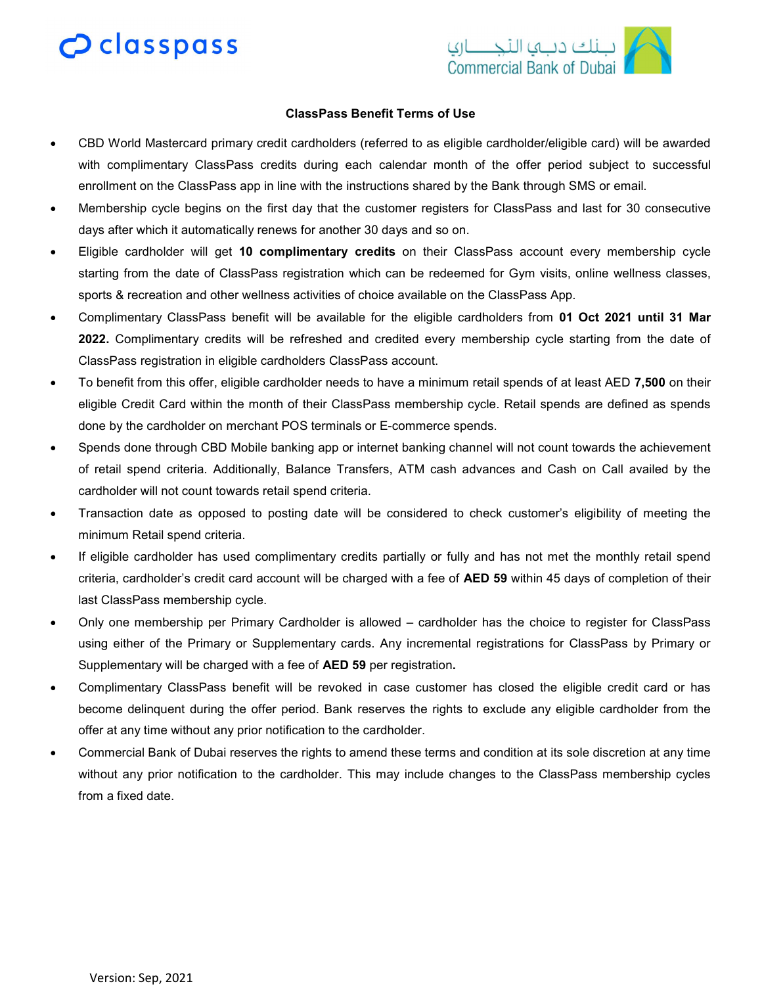# $\mathbf 2$  classpass



## ClassPass Benefit Terms of Use

- CBD World Mastercard primary credit cardholders (referred to as eligible cardholder/eligible card) will be awarded with complimentary ClassPass credits during each calendar month of the offer period subject to successful enrollment on the ClassPass app in line with the instructions shared by the Bank through SMS or email.
- Membership cycle begins on the first day that the customer registers for ClassPass and last for 30 consecutive days after which it automatically renews for another 30 days and so on.
- Eligible cardholder will get 10 complimentary credits on their ClassPass account every membership cycle starting from the date of ClassPass registration which can be redeemed for Gym visits, online wellness classes, sports & recreation and other wellness activities of choice available on the ClassPass App.
- Complimentary ClassPass benefit will be available for the eligible cardholders from 01 Oct 2021 until 31 Mar 2022. Complimentary credits will be refreshed and credited every membership cycle starting from the date of ClassPass registration in eligible cardholders ClassPass account.
- To benefit from this offer, eligible cardholder needs to have a minimum retail spends of at least AED 7,500 on their eligible Credit Card within the month of their ClassPass membership cycle. Retail spends are defined as spends done by the cardholder on merchant POS terminals or E-commerce spends.
- Spends done through CBD Mobile banking app or internet banking channel will not count towards the achievement of retail spend criteria. Additionally, Balance Transfers, ATM cash advances and Cash on Call availed by the cardholder will not count towards retail spend criteria.
- Transaction date as opposed to posting date will be considered to check customer's eligibility of meeting the minimum Retail spend criteria.
- If eligible cardholder has used complimentary credits partially or fully and has not met the monthly retail spend criteria, cardholder's credit card account will be charged with a fee of AED 59 within 45 days of completion of their last ClassPass membership cycle.
- Only one membership per Primary Cardholder is allowed cardholder has the choice to register for ClassPass using either of the Primary or Supplementary cards. Any incremental registrations for ClassPass by Primary or Supplementary will be charged with a fee of **AED 59** per registration.
- Complimentary ClassPass benefit will be revoked in case customer has closed the eligible credit card or has become delinquent during the offer period. Bank reserves the rights to exclude any eligible cardholder from the offer at any time without any prior notification to the cardholder.
- Commercial Bank of Dubai reserves the rights to amend these terms and condition at its sole discretion at any time without any prior notification to the cardholder. This may include changes to the ClassPass membership cycles from a fixed date.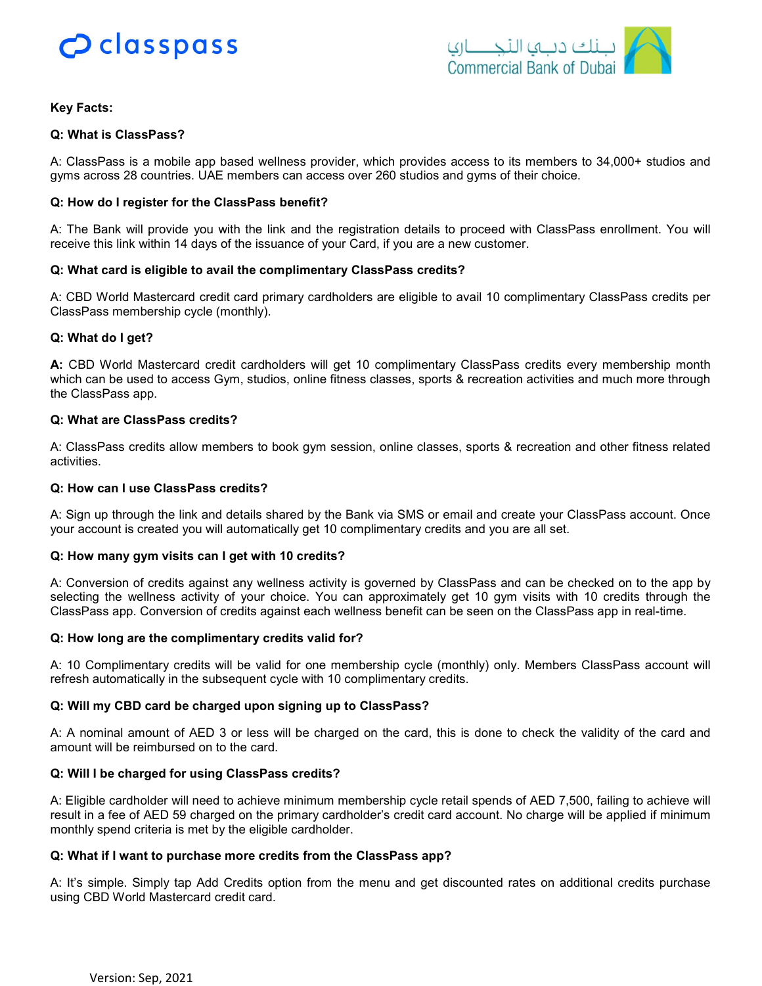



## Key Facts:

## Q: What is ClassPass?

A: ClassPass is a mobile app based wellness provider, which provides access to its members to 34,000+ studios and gyms across 28 countries. UAE members can access over 260 studios and gyms of their choice.

## Q: How do I register for the ClassPass benefit?

A: The Bank will provide you with the link and the registration details to proceed with ClassPass enrollment. You will receive this link within 14 days of the issuance of your Card, if you are a new customer.

#### Q: What card is eligible to avail the complimentary ClassPass credits?

A: CBD World Mastercard credit card primary cardholders are eligible to avail 10 complimentary ClassPass credits per ClassPass membership cycle (monthly).

#### Q: What do I get?

A: CBD World Mastercard credit cardholders will get 10 complimentary ClassPass credits every membership month which can be used to access Gym, studios, online fitness classes, sports & recreation activities and much more through the ClassPass app.

#### Q: What are ClassPass credits?

A: ClassPass credits allow members to book gym session, online classes, sports & recreation and other fitness related activities.

## Q: How can I use ClassPass credits?

A: Sign up through the link and details shared by the Bank via SMS or email and create your ClassPass account. Once your account is created you will automatically get 10 complimentary credits and you are all set.

#### Q: How many gym visits can I get with 10 credits?

A: Conversion of credits against any wellness activity is governed by ClassPass and can be checked on to the app by selecting the wellness activity of your choice. You can approximately get 10 gym visits with 10 credits through the ClassPass app. Conversion of credits against each wellness benefit can be seen on the ClassPass app in real-time.

#### Q: How long are the complimentary credits valid for?

A: 10 Complimentary credits will be valid for one membership cycle (monthly) only. Members ClassPass account will refresh automatically in the subsequent cycle with 10 complimentary credits.

## Q: Will my CBD card be charged upon signing up to ClassPass?

A: A nominal amount of AED 3 or less will be charged on the card, this is done to check the validity of the card and amount will be reimbursed on to the card.

## Q: Will I be charged for using ClassPass credits?

A: Eligible cardholder will need to achieve minimum membership cycle retail spends of AED 7,500, failing to achieve will result in a fee of AED 59 charged on the primary cardholder's credit card account. No charge will be applied if minimum monthly spend criteria is met by the eligible cardholder.

## Q: What if I want to purchase more credits from the ClassPass app?

A: It's simple. Simply tap Add Credits option from the menu and get discounted rates on additional credits purchase using CBD World Mastercard credit card.